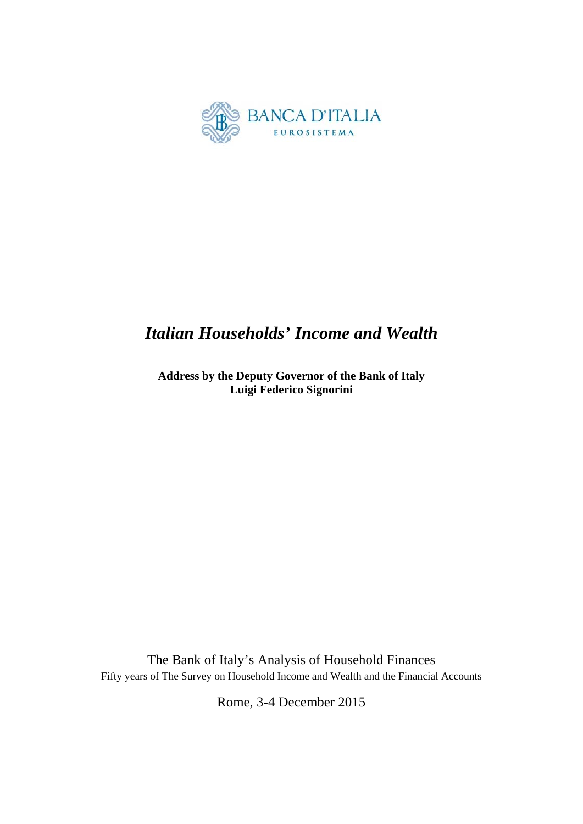

# *Italian Households' Income and Wealth*

**Address by the Deputy Governor of the Bank of Italy Luigi Federico Signorini** 

The Bank of Italy's Analysis of Household Finances Fifty years of The Survey on Household Income and Wealth and the Financial Accounts

Rome, 3-4 December 2015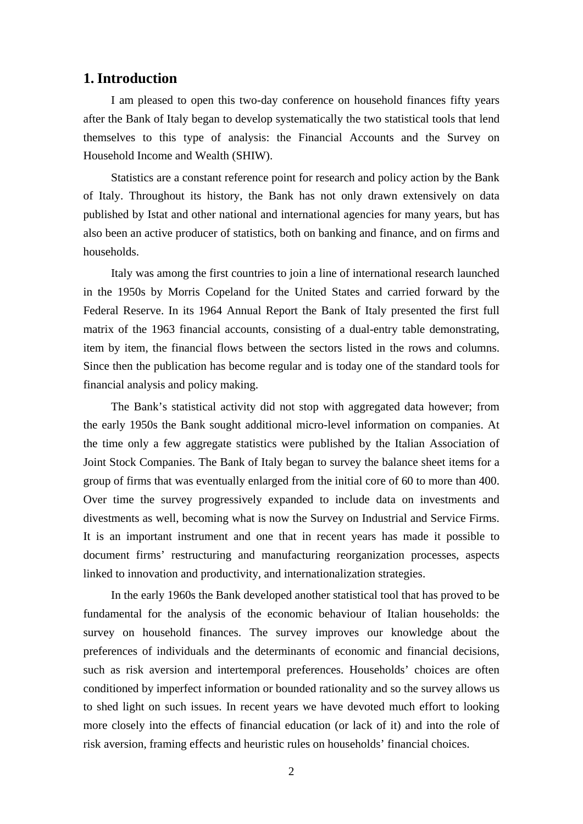#### **1. Introduction**

I am pleased to open this two-day conference on household finances fifty years after the Bank of Italy began to develop systematically the two statistical tools that lend themselves to this type of analysis: the Financial Accounts and the Survey on Household Income and Wealth (SHIW).

Statistics are a constant reference point for research and policy action by the Bank of Italy. Throughout its history, the Bank has not only drawn extensively on data published by Istat and other national and international agencies for many years, but has also been an active producer of statistics, both on banking and finance, and on firms and households.

Italy was among the first countries to join a line of international research launched in the 1950s by Morris Copeland for the United States and carried forward by the Federal Reserve. In its 1964 Annual Report the Bank of Italy presented the first full matrix of the 1963 financial accounts, consisting of a dual-entry table demonstrating, item by item, the financial flows between the sectors listed in the rows and columns. Since then the publication has become regular and is today one of the standard tools for financial analysis and policy making.

The Bank's statistical activity did not stop with aggregated data however; from the early 1950s the Bank sought additional micro-level information on companies. At the time only a few aggregate statistics were published by the Italian Association of Joint Stock Companies. The Bank of Italy began to survey the balance sheet items for a group of firms that was eventually enlarged from the initial core of 60 to more than 400. Over time the survey progressively expanded to include data on investments and divestments as well, becoming what is now the Survey on Industrial and Service Firms. It is an important instrument and one that in recent years has made it possible to document firms' restructuring and manufacturing reorganization processes, aspects linked to innovation and productivity, and internationalization strategies.

In the early 1960s the Bank developed another statistical tool that has proved to be fundamental for the analysis of the economic behaviour of Italian households: the survey on household finances. The survey improves our knowledge about the preferences of individuals and the determinants of economic and financial decisions, such as risk aversion and intertemporal preferences. Households' choices are often conditioned by imperfect information or bounded rationality and so the survey allows us to shed light on such issues. In recent years we have devoted much effort to looking more closely into the effects of financial education (or lack of it) and into the role of risk aversion, framing effects and heuristic rules on households' financial choices.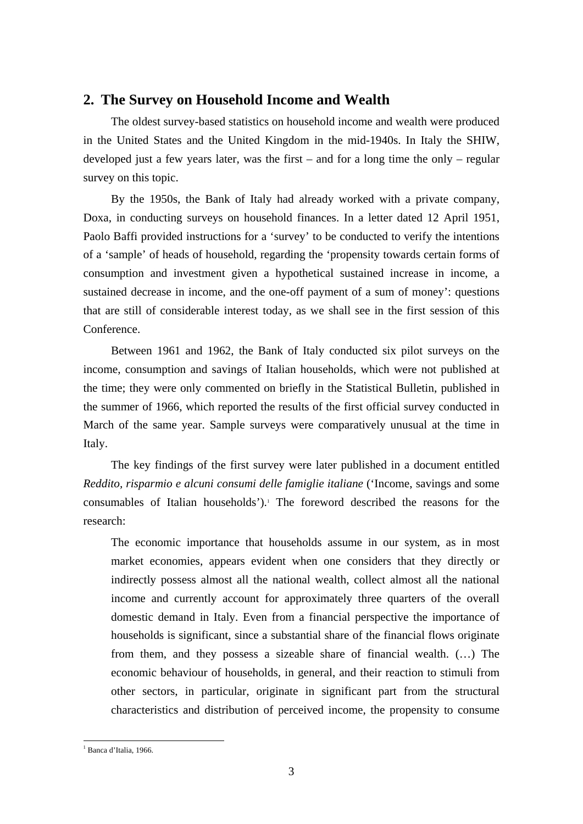### **2. The Survey on Household Income and Wealth**

The oldest survey-based statistics on household income and wealth were produced in the United States and the United Kingdom in the mid-1940s. In Italy the SHIW, developed just a few years later, was the first – and for a long time the only – regular survey on this topic.

By the 1950s, the Bank of Italy had already worked with a private company, Doxa, in conducting surveys on household finances. In a letter dated 12 April 1951, Paolo Baffi provided instructions for a 'survey' to be conducted to verify the intentions of a 'sample' of heads of household, regarding the 'propensity towards certain forms of consumption and investment given a hypothetical sustained increase in income, a sustained decrease in income, and the one-off payment of a sum of money': questions that are still of considerable interest today, as we shall see in the first session of this Conference.

Between 1961 and 1962, the Bank of Italy conducted six pilot surveys on the income, consumption and savings of Italian households, which were not published at the time; they were only commented on briefly in the Statistical Bulletin, published in the summer of 1966, which reported the results of the first official survey conducted in March of the same year. Sample surveys were comparatively unusual at the time in Italy.

The key findings of the first survey were later published in a document entitled *Reddito, risparmio e alcuni consumi delle famiglie italiane* ('Income, savings and some consumables of Italian households').<sup>1</sup> The foreword described the reasons for the research:

The economic importance that households assume in our system, as in most market economies, appears evident when one considers that they directly or indirectly possess almost all the national wealth, collect almost all the national income and currently account for approximately three quarters of the overall domestic demand in Italy. Even from a financial perspective the importance of households is significant, since a substantial share of the financial flows originate from them, and they possess a sizeable share of financial wealth. (…) The economic behaviour of households, in general, and their reaction to stimuli from other sectors, in particular, originate in significant part from the structural characteristics and distribution of perceived income, the propensity to consume

 1 Banca d'Italia, 1966.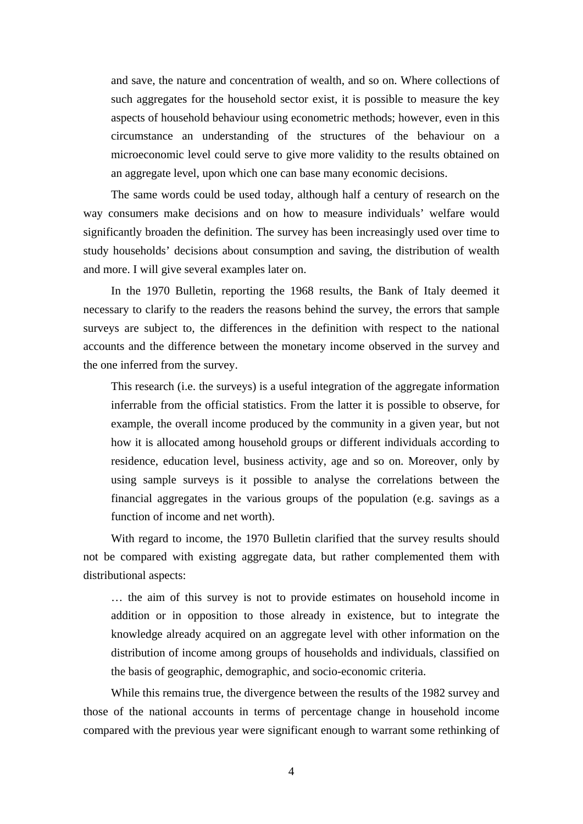and save, the nature and concentration of wealth, and so on. Where collections of such aggregates for the household sector exist, it is possible to measure the key aspects of household behaviour using econometric methods; however, even in this circumstance an understanding of the structures of the behaviour on a microeconomic level could serve to give more validity to the results obtained on an aggregate level, upon which one can base many economic decisions.

The same words could be used today, although half a century of research on the way consumers make decisions and on how to measure individuals' welfare would significantly broaden the definition. The survey has been increasingly used over time to study households' decisions about consumption and saving, the distribution of wealth and more. I will give several examples later on.

In the 1970 Bulletin, reporting the 1968 results, the Bank of Italy deemed it necessary to clarify to the readers the reasons behind the survey, the errors that sample surveys are subject to, the differences in the definition with respect to the national accounts and the difference between the monetary income observed in the survey and the one inferred from the survey.

This research (i.e. the surveys) is a useful integration of the aggregate information inferrable from the official statistics. From the latter it is possible to observe, for example, the overall income produced by the community in a given year, but not how it is allocated among household groups or different individuals according to residence, education level, business activity, age and so on. Moreover, only by using sample surveys is it possible to analyse the correlations between the financial aggregates in the various groups of the population (e.g. savings as a function of income and net worth).

With regard to income, the 1970 Bulletin clarified that the survey results should not be compared with existing aggregate data, but rather complemented them with distributional aspects:

… the aim of this survey is not to provide estimates on household income in addition or in opposition to those already in existence, but to integrate the knowledge already acquired on an aggregate level with other information on the distribution of income among groups of households and individuals, classified on the basis of geographic, demographic, and socio-economic criteria.

While this remains true, the divergence between the results of the 1982 survey and those of the national accounts in terms of percentage change in household income compared with the previous year were significant enough to warrant some rethinking of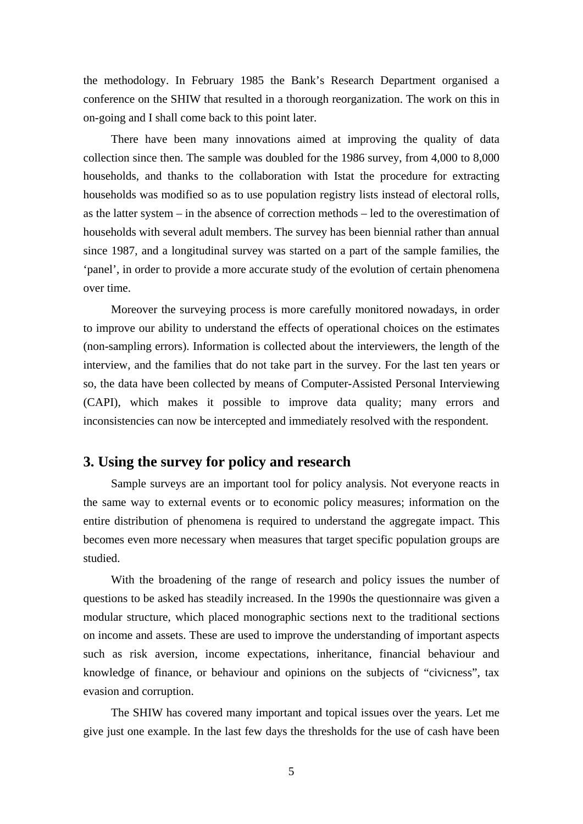the methodology. In February 1985 the Bank's Research Department organised a conference on the SHIW that resulted in a thorough reorganization. The work on this in on-going and I shall come back to this point later.

There have been many innovations aimed at improving the quality of data collection since then. The sample was doubled for the 1986 survey, from 4,000 to 8,000 households, and thanks to the collaboration with Istat the procedure for extracting households was modified so as to use population registry lists instead of electoral rolls, as the latter system – in the absence of correction methods – led to the overestimation of households with several adult members. The survey has been biennial rather than annual since 1987, and a longitudinal survey was started on a part of the sample families, the 'panel', in order to provide a more accurate study of the evolution of certain phenomena over time.

Moreover the surveying process is more carefully monitored nowadays, in order to improve our ability to understand the effects of operational choices on the estimates (non-sampling errors). Information is collected about the interviewers, the length of the interview, and the families that do not take part in the survey. For the last ten years or so, the data have been collected by means of Computer-Assisted Personal Interviewing (CAPI), which makes it possible to improve data quality; many errors and inconsistencies can now be intercepted and immediately resolved with the respondent.

#### **3. Using the survey for policy and research**

Sample surveys are an important tool for policy analysis. Not everyone reacts in the same way to external events or to economic policy measures; information on the entire distribution of phenomena is required to understand the aggregate impact. This becomes even more necessary when measures that target specific population groups are studied.

With the broadening of the range of research and policy issues the number of questions to be asked has steadily increased. In the 1990s the questionnaire was given a modular structure, which placed monographic sections next to the traditional sections on income and assets. These are used to improve the understanding of important aspects such as risk aversion, income expectations, inheritance, financial behaviour and knowledge of finance, or behaviour and opinions on the subjects of "civicness", tax evasion and corruption.

The SHIW has covered many important and topical issues over the years. Let me give just one example. In the last few days the thresholds for the use of cash have been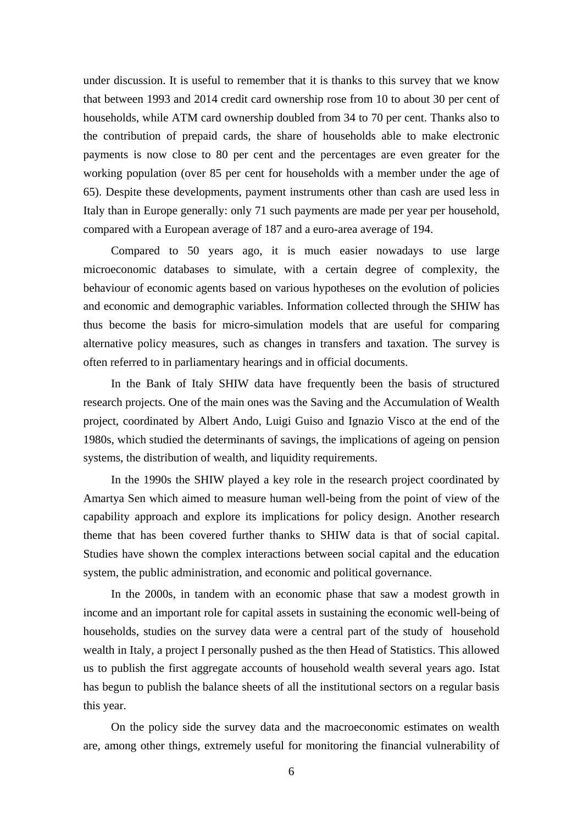under discussion. It is useful to remember that it is thanks to this survey that we know that between 1993 and 2014 credit card ownership rose from 10 to about 30 per cent of households, while ATM card ownership doubled from 34 to 70 per cent. Thanks also to the contribution of prepaid cards, the share of households able to make electronic payments is now close to 80 per cent and the percentages are even greater for the working population (over 85 per cent for households with a member under the age of 65). Despite these developments, payment instruments other than cash are used less in Italy than in Europe generally: only 71 such payments are made per year per household, compared with a European average of 187 and a euro-area average of 194.

Compared to 50 years ago, it is much easier nowadays to use large microeconomic databases to simulate, with a certain degree of complexity, the behaviour of economic agents based on various hypotheses on the evolution of policies and economic and demographic variables. Information collected through the SHIW has thus become the basis for micro-simulation models that are useful for comparing alternative policy measures, such as changes in transfers and taxation. The survey is often referred to in parliamentary hearings and in official documents.

In the Bank of Italy SHIW data have frequently been the basis of structured research projects. One of the main ones was the Saving and the Accumulation of Wealth project, coordinated by Albert Ando, Luigi Guiso and Ignazio Visco at the end of the 1980s, which studied the determinants of savings, the implications of ageing on pension systems, the distribution of wealth, and liquidity requirements.

In the 1990s the SHIW played a key role in the research project coordinated by Amartya Sen which aimed to measure human well-being from the point of view of the capability approach and explore its implications for policy design. Another research theme that has been covered further thanks to SHIW data is that of social capital. Studies have shown the complex interactions between social capital and the education system, the public administration, and economic and political governance.

In the 2000s, in tandem with an economic phase that saw a modest growth in income and an important role for capital assets in sustaining the economic well-being of households, studies on the survey data were a central part of the study of household wealth in Italy, a project I personally pushed as the then Head of Statistics. This allowed us to publish the first aggregate accounts of household wealth several years ago. Istat has begun to publish the balance sheets of all the institutional sectors on a regular basis this year.

On the policy side the survey data and the macroeconomic estimates on wealth are, among other things, extremely useful for monitoring the financial vulnerability of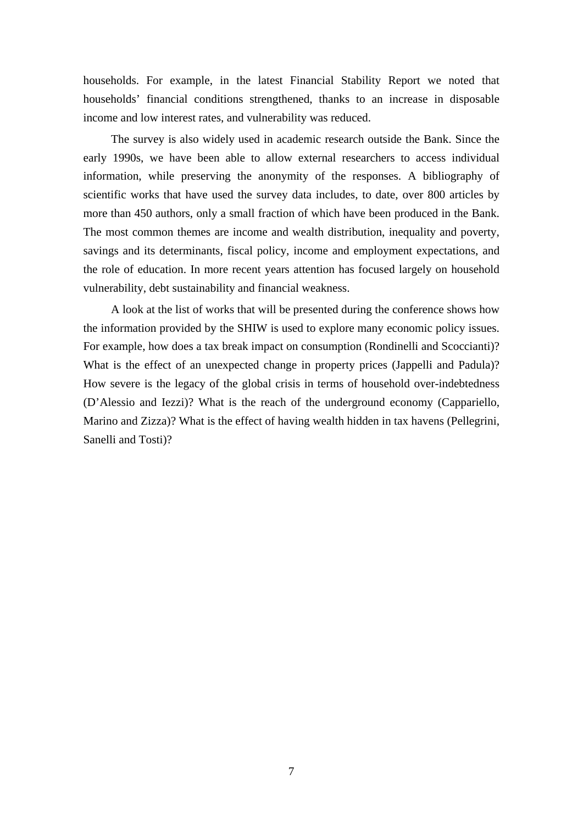households. For example, in the latest Financial Stability Report we noted that households' financial conditions strengthened, thanks to an increase in disposable income and low interest rates, and vulnerability was reduced.

The survey is also widely used in academic research outside the Bank. Since the early 1990s, we have been able to allow external researchers to access individual information, while preserving the anonymity of the responses. A bibliography of scientific works that have used the survey data includes, to date, over 800 articles by more than 450 authors, only a small fraction of which have been produced in the Bank. The most common themes are income and wealth distribution, inequality and poverty, savings and its determinants, fiscal policy, income and employment expectations, and the role of education. In more recent years attention has focused largely on household vulnerability, debt sustainability and financial weakness.

A look at the list of works that will be presented during the conference shows how the information provided by the SHIW is used to explore many economic policy issues. For example, how does a tax break impact on consumption (Rondinelli and Scoccianti)? What is the effect of an unexpected change in property prices (Jappelli and Padula)? How severe is the legacy of the global crisis in terms of household over-indebtedness (D'Alessio and Iezzi)? What is the reach of the underground economy (Cappariello, Marino and Zizza)? What is the effect of having wealth hidden in tax havens (Pellegrini, Sanelli and Tosti)?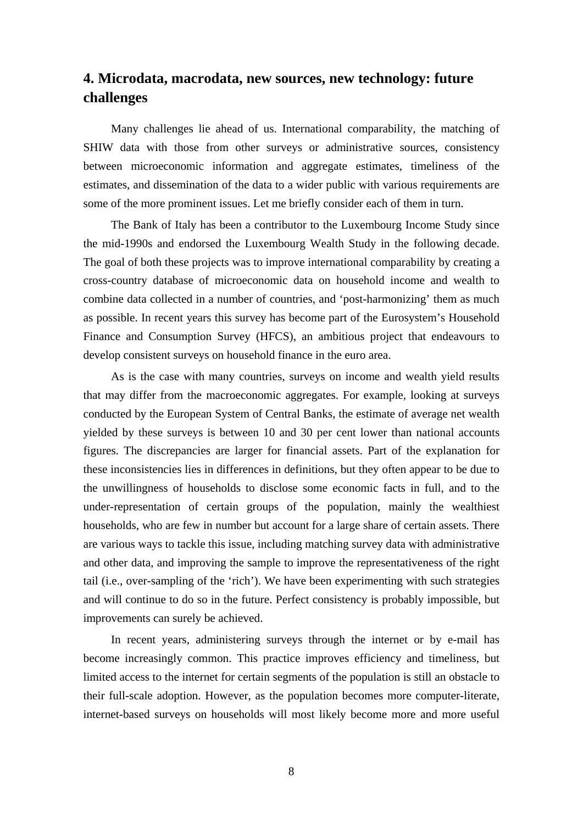## **4. Microdata, macrodata, new sources, new technology: future challenges**

Many challenges lie ahead of us. International comparability, the matching of SHIW data with those from other surveys or administrative sources, consistency between microeconomic information and aggregate estimates, timeliness of the estimates, and dissemination of the data to a wider public with various requirements are some of the more prominent issues. Let me briefly consider each of them in turn.

The Bank of Italy has been a contributor to the Luxembourg Income Study since the mid-1990s and endorsed the Luxembourg Wealth Study in the following decade. The goal of both these projects was to improve international comparability by creating a cross-country database of microeconomic data on household income and wealth to combine data collected in a number of countries, and 'post-harmonizing' them as much as possible. In recent years this survey has become part of the Eurosystem's Household Finance and Consumption Survey (HFCS), an ambitious project that endeavours to develop consistent surveys on household finance in the euro area.

As is the case with many countries, surveys on income and wealth yield results that may differ from the macroeconomic aggregates. For example, looking at surveys conducted by the European System of Central Banks, the estimate of average net wealth yielded by these surveys is between 10 and 30 per cent lower than national accounts figures. The discrepancies are larger for financial assets. Part of the explanation for these inconsistencies lies in differences in definitions, but they often appear to be due to the unwillingness of households to disclose some economic facts in full, and to the under-representation of certain groups of the population, mainly the wealthiest households, who are few in number but account for a large share of certain assets. There are various ways to tackle this issue, including matching survey data with administrative and other data, and improving the sample to improve the representativeness of the right tail (i.e., over-sampling of the 'rich'). We have been experimenting with such strategies and will continue to do so in the future. Perfect consistency is probably impossible, but improvements can surely be achieved.

In recent years, administering surveys through the internet or by e-mail has become increasingly common. This practice improves efficiency and timeliness, but limited access to the internet for certain segments of the population is still an obstacle to their full-scale adoption. However, as the population becomes more computer-literate, internet-based surveys on households will most likely become more and more useful